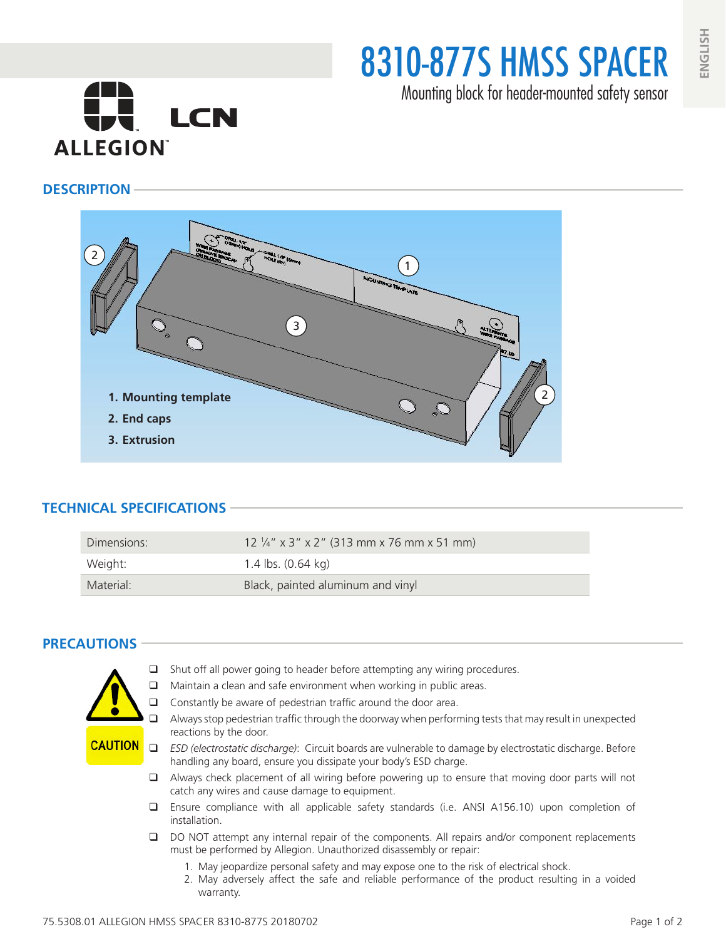8310-877S HMSS SPACER

Mounting block for header-mounted safety sensor

# **CH** LCN **ALLEGION**

#### **DESCRIPTION**



## **TECHNICAL SPECIFICATIONS**

| Dimensions: | $12\frac{1}{4}$ " x 3" x 2" (313 mm x 76 mm x 51 mm) |
|-------------|------------------------------------------------------|
| Weight:     | 1.4 lbs. $(0.64 \text{ kg})$                         |
| Material:   | Black, painted aluminum and vinyl                    |

## **PRECAUTIONS**



- $\Box$  Shut off all power going to header before attempting any wiring procedures.
- $\Box$  Maintain a clean and safe environment when working in public areas.
- $\Box$  Constantly be aware of pedestrian traffic around the door area.
- $\Box$  Always stop pedestrian traffic through the doorway when performing tests that may result in unexpected reactions by the door.
- *ESD (electrostatic discharge)*: Circuit boards are vulnerable to damage by electrostatic discharge. Before handling any board, ensure you dissipate your body's ESD charge.
- $\Box$  Always check placement of all wiring before powering up to ensure that moving door parts will not catch any wires and cause damage to equipment.
- Ensure compliance with all applicable safety standards (i.e. ANSI A156.10) upon completion of installation.
- DO NOT attempt any internal repair of the components. All repairs and/or component replacements must be performed by Allegion. Unauthorized disassembly or repair:
	- 1. May jeopardize personal safety and may expose one to the risk of electrical shock.
	- 2. May adversely affect the safe and reliable performance of the product resulting in a voided warranty.